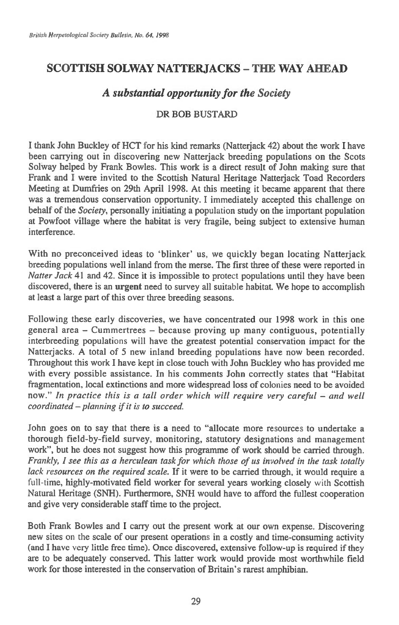## **SCOTTISH SOLWAY NATTERJACKS — THE WAY AHEAD**

## *A substantial opportunity for the Society*

## DR BOB BUSTARD

I thank John Buckley of HCT for his kind remarks (Natterjack 42) about the work **I** have been carrying out in discovering new Natterjack breeding populations on the Scots Solway helped by Frank Bowles. This work is a direct result of John making sure that Frank and I were invited to the Scottish Natural Heritage Natterjack Toad Recorders Meeting at Dumfries on 29th April 1998. At this meeting it became apparent that there was a tremendous conservation opportunity. I immediately accepted this challenge on behalf of the *Society,* personally initiating a population study on the important population at Powfoot village where the habitat is very fragile, being subject to extensive human interference.

With no preconceived ideas to 'blinker' us, we quickly began locating Natterjack breeding populations well inland from the merse. The first three of these were reported in *Natter Jack* 41 and 42. Since it is impossible to protect populations until they have been discovered, there is an **urgent** need to survey all suitable habitat. We hope to accomplish at least a large part of this over three breeding seasons.

Following these early discoveries, we have concentrated our 1998 work in this one general area — Cummertrees — because proving up many contiguous, potentially interbreeding populations will have the greatest potential conservation impact for the Natterjacks. A total of 5 new inland breeding populations have now been recorded. Throughout this work I have kept in close touch with John Buckley who has provided me with every possible assistance. In his comments John correctly states that "Habitat fragmentation, local extinctions and more widespread loss of colonies need to be avoided now." *In practice this is a tall order which will require very careful — and well coordinated — planning if it is to succeed.* 

John goes on to say that there is a need to "allocate more resources to undertake a thorough field-by-field survey, monitoring, statutory designations and management work", but he does not suggest how this programme of work should be carried through. *Frankly, 1 see this as a herculean task for which those of us involved in the task totally lack resources on the required scale.* If it were to be carried through, it would require a full-time, highly-motivated field worker for several years working closely with Scottish Natural Heritage (SNH). Furthermore, SNH would have to afford the fullest cooperation and give very considerable staff time to the project.

Both Frank Bowles and I carry out the present work at our own expense. Discovering new sites on the scale of our present operations in a costly and time-consuming activity (and I have very little free time). Once discovered, extensive follow-up is required if they are to be adequately conserved. This latter work would provide most worthwhile field work for those interested in the conservation of Britain's rarest amphibian.